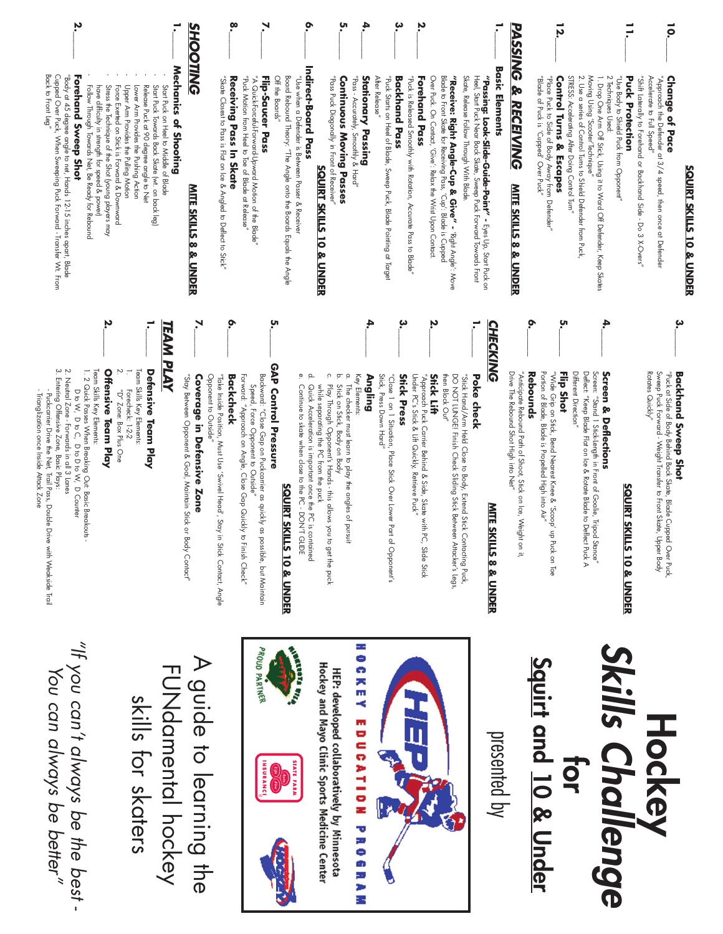| ָט.<br>بہ<br>Ņ<br>12.<br>ō.<br>Ξ<br><b>PASSING</b><br><b>Basic Elements</b><br><b>"Receive: Right Angle-Cup &amp; Give" -</b> "Right Angle: Move<br>Blade to Front Skate for Receiving Pass, "Cup': Blade is Cupped<br>Skate, Release Follow Through With Blade.<br>Heel, Start Puck Near Back Skate, Sweep Puck Forward Towards Front<br>STRESS: Accelerating After Doing Control Turn"<br><b>Stationary Passing</b><br>After Release"<br>"Puck is Released Smoothly with Rotation, Accurate Pass to Blade"<br>Over Puck. On Contact, 'Give': Relax the Wrist Upon Contact.<br><b>Control Turns &amp; Escapes</b><br>2. Use a series of Control Turns to Shield Defender from Puck<br>Moving Using 'Scooter'Technique'<br>"Use Body to Shield Puck from Opponent"<br>"Shift Laterally to Forehand Side - Do 3 X-Overs,"<br>"Approach the Defender at 3/4 speed, then once at Defender<br>Accelerate to Full Speed"<br><b>Change of Pace</b><br>"Pass Puck Diagonally in Front of Receiver"<br>"Pass - Accurately, Smoothly & Hard"<br>"Puck Starts on Heel of Blade, Sweep Puck, Blade Pointing at Target<br>Backhand Pass<br>Forehand Pass<br>"Passing: Look-Slide-Guide-Point" - Eyes Up, Start Puck on<br>"Place Puck to Side of Body Away from Defender<br>2 Techniques Used:<br><b>Puck Protection</b><br>Continuous Moving Passes<br>"Blade of Puck is 'Cupped' Over Puck'"<br>1. Drop One Arm Off Stick, Using it to Ward Off Defender, Keep Skates<br>& RECEIVING<br><b>SQUIRT SKILLS 10 &amp; UNDER</b><br><b>MITE SKILLS 8 &amp; UNDER</b><br>Ņ<br>4,<br>بہ<br>بہ<br>ö<br>ָu<br><b>CHECKING</b><br>Drive The Rebound Shot High into Net"<br>"Anticipate Rebound Path of Shoot, Stick on Ice, W<br>"Wide Grip on Stick, Bend Nearest Knee & 'Scoop' up Puck on Toe<br>Portion of Blade, Blade is Propelled High into Air"<br>Flip Shot<br>Different Direction"<br>Deflect: "Keep Blade Flat on Ice & Rotate Blade to<br>Screen: "Stand 1 Stick-Length in Front of Goalie, Tri<br>Rotates Quickly"<br>Sweep Puck Forward - Weight Transfer to Front Skate, Upper Body<br>"Puck at Side of Body Behind Back Skate, Blade Cupped Over Puck,<br>Screen & Deflections<br>Backhand Sweep Shot<br>Rebounds<br>Ċ.<br>ō.<br>$\rm \dot{\rm o}$<br>Key Elements:<br>DO NOT LUNGE! Finish Check Sliding Stick Between Attacker's Legs,<br>Angling<br>Stick, Press Down Hard"<br><b>Stick Press</b><br>Under PC's Stick & Lift Quickly,<br><b>Stick Lift</b><br>then Block Out"<br>"Stick Hand/Arm Held Close to Body, Extend Stick Contacting Puck,<br>Poke check<br>"Close 1 on 1 Situation, Place Stick Over Lower<br>"Approach Puck Carrier Behind & Side, Skate wi<br>Play Through Opponent's Hands - this allows<br>while separating the PC from the puck<br>Stick on Stick, Body on Body<br>The checker must learn to play the angles of<br>Retrieve Puck" |
|----------------------------------------------------------------------------------------------------------------------------------------------------------------------------------------------------------------------------------------------------------------------------------------------------------------------------------------------------------------------------------------------------------------------------------------------------------------------------------------------------------------------------------------------------------------------------------------------------------------------------------------------------------------------------------------------------------------------------------------------------------------------------------------------------------------------------------------------------------------------------------------------------------------------------------------------------------------------------------------------------------------------------------------------------------------------------------------------------------------------------------------------------------------------------------------------------------------------------------------------------------------------------------------------------------------------------------------------------------------------------------------------------------------------------------------------------------------------------------------------------------------------------------------------------------------------------------------------------------------------------------------------------------------------------------------------------------------------------------------------------------------------------------------------------------------------------------------------------------------------------------------------------------------------------------------------------------------------------------------------------------------------------------------------------------------------------------------------------------------------------------------------------------------------------------------------------------------------------------------------------------------------------------------------------------------------------------------------------------------------------------------------------------------------------------------------------------------------------------------------------------------------------------------------------------------------------------------------------------------------------------------------------------------------------------------------------------------------------------------------------------------------------------------------------------------------------------------------------------------|
|                                                                                                                                                                                                                                                                                                                                                                                                                                                                                                                                                                                                                                                                                                                                                                                                                                                                                                                                                                                                                                                                                                                                                                                                                                                                                                                                                                                                                                                                                                                                                                                                                                                                                                                                                                                                                                                                                                                                                                                                                                                                                                                                                                                                                                                                                                                                                                                                                                                                                                                                                                                                                                                                                                                                                                                                                                                                |
|                                                                                                                                                                                                                                                                                                                                                                                                                                                                                                                                                                                                                                                                                                                                                                                                                                                                                                                                                                                                                                                                                                                                                                                                                                                                                                                                                                                                                                                                                                                                                                                                                                                                                                                                                                                                                                                                                                                                                                                                                                                                                                                                                                                                                                                                                                                                                                                                                                                                                                                                                                                                                                                                                                                                                                                                                                                                |
|                                                                                                                                                                                                                                                                                                                                                                                                                                                                                                                                                                                                                                                                                                                                                                                                                                                                                                                                                                                                                                                                                                                                                                                                                                                                                                                                                                                                                                                                                                                                                                                                                                                                                                                                                                                                                                                                                                                                                                                                                                                                                                                                                                                                                                                                                                                                                                                                                                                                                                                                                                                                                                                                                                                                                                                                                                                                |

### **Hockey<br>Skills Challenge** *Skills Challenge* **for Squir t and 10 & Under**

presented by



# HOCKEY EDUCATION PROGRAM

Hockey and Mayo Clinic Sports Medicine Center **HEP: developed collaboratively by Minnesota** 







A guide to learning the A guide to learning the FUNdamental<br>PONG FUNdamental hockey skills for skaters

skills for skaters

"If you can't always be the best -*"If you can't always be the best - You can always be better"*You can always be better"